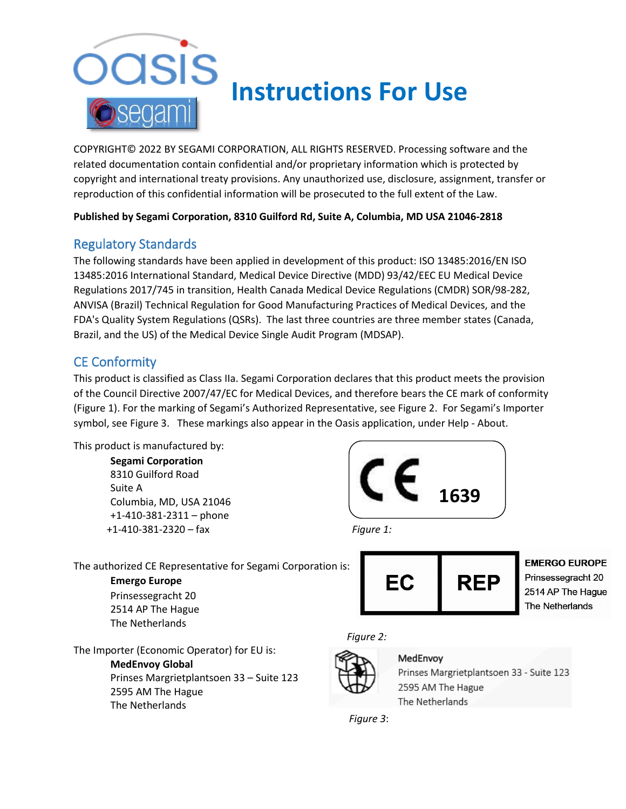

COPYRIGHT© 2022 BY SEGAMI CORPORATION, ALL RIGHTS RESERVED. Processing software and the related documentation contain confidential and/or proprietary information which is protected by copyright and international treaty provisions. Any unauthorized use, disclosure, assignment, transfer or reproduction of this confidential information will be prosecuted to the full extent of the Law.

### **Published by Segami Corporation, 8310 Guilford Rd, Suite A, Columbia, MD USA 21046-2818**

## Regulatory Standards

The following standards have been applied in development of this product: ISO 13485:2016/EN ISO 13485:2016 International Standard, Medical Device Directive (MDD) 93/42/EEC EU Medical Device Regulations 2017/745 in transition, Health Canada Medical Device Regulations (CMDR) SOR/98-282, ANVISA (Brazil) Technical Regulation for Good Manufacturing Practices of Medical Devices, and the FDA's Quality System Regulations (QSRs). The last three countries are three member states (Canada, Brazil, and the US) of the Medical Device Single Audit Program (MDSAP).

# CE Conformity

This product is classified as Class IIa. Segami Corporation declares that this product meets the provision of the Council Directive 2007/47/EC for Medical Devices, and therefore bears the CE mark of conformity (Figure 1). For the marking of Segami's Authorized Representative, see Figure 2. For Segami's Importer symbol, see Figure 3. These markings also appear in the Oasis application, under Help - About.

This product is manufactured by:

**Segami Corporation** 8310 Guilford Road Suite A Columbia, MD, USA 21046 +1-410-381-2311 – phone +1-410-381-2320 – fax *Figure 1:*



The authorized CE Representative for Segami Corporation is:

# **Emergo Europe**



**EMERGO EUROPE** Prinsessegracht 20 2514 AP The Hague The Netherlands

Prinsessegracht 20 2514 AP The Hague The Netherlands

The Importer (Economic Operator) for EU is: **MedEnvoy Global** Prinses Margrietplantsoen 33 – Suite 123 2595 AM The Hague The Netherlands

## *Figure 2:*



MedEnvoy Prinses Margrietplantsoen 33 - Suite 123 2595 AM The Hague The Netherlands

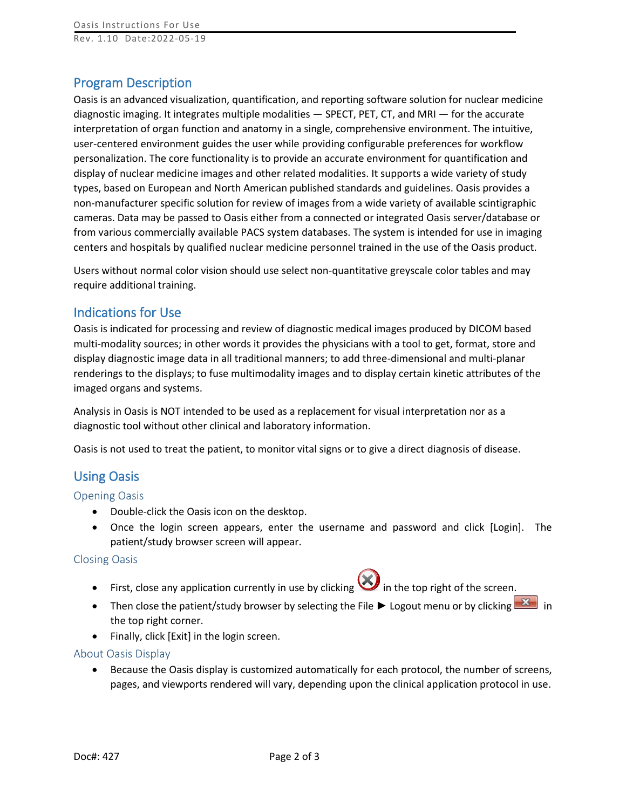## Program Description

Oasis is an advanced visualization, quantification, and reporting software solution for nuclear medicine diagnostic imaging. It integrates multiple modalities — SPECT, PET, CT, and MRI — for the accurate interpretation of organ function and anatomy in a single, comprehensive environment. The intuitive, user-centered environment guides the user while providing configurable preferences for workflow personalization. The core functionality is to provide an accurate environment for quantification and display of nuclear medicine images and other related modalities. It supports a wide variety of study types, based on European and North American published standards and guidelines. Oasis provides a non-manufacturer specific solution for review of images from a wide variety of available scintigraphic cameras. Data may be passed to Oasis either from a connected or integrated Oasis server/database or from various commercially available PACS system databases. The system is intended for use in imaging centers and hospitals by qualified nuclear medicine personnel trained in the use of the Oasis product.

Users without normal color vision should use select non-quantitative greyscale color tables and may require additional training.

## Indications for Use

Oasis is indicated for processing and review of diagnostic medical images produced by DICOM based multi-modality sources; in other words it provides the physicians with a tool to get, format, store and display diagnostic image data in all traditional manners; to add three-dimensional and multi-planar renderings to the displays; to fuse multimodality images and to display certain kinetic attributes of the imaged organs and systems.

Analysis in Oasis is NOT intended to be used as a replacement for visual interpretation nor as a diagnostic tool without other clinical and laboratory information.

Oasis is not used to treat the patient, to monitor vital signs or to give a direct diagnosis of disease.

## Using Oasis

### Opening Oasis

- Double-click the Oasis icon on the desktop.
- Once the login screen appears, enter the username and password and click [Login]. The patient/study browser screen will appear.

### Closing Oasis

- First, close any application currently in use by clicking  $\bigotimes$  in the top right of the screen.
- Then close the patient/study browser by selecting the File ► Logout menu or by clicking  $\mathbf{X}$  in the top right corner.
- Finally, click [Exit] in the login screen.

### About Oasis Display

• Because the Oasis display is customized automatically for each protocol, the number of screens, pages, and viewports rendered will vary, depending upon the clinical application protocol in use.